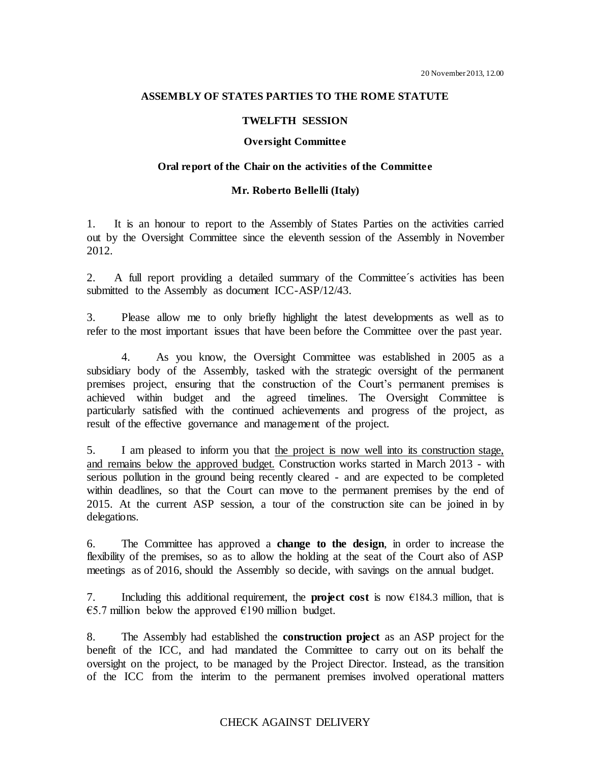### **ASSEMBLY OF STATES PARTIES TO THE ROME STATUTE**

#### **TWELFTH SESSION**

#### **Oversight Committee**

## **Oral report of the Chair on the activities of the Committee**

## **Mr. Roberto Bellelli (Italy)**

1. It is an honour to report to the Assembly of States Parties on the activities carried out by the Oversight Committee since the eleventh session of the Assembly in November 2012.

2. A full report providing a detailed summary of the Committee´s activities has been submitted to the Assembly as document ICC-ASP/12/43.

3. Please allow me to only briefly highlight the latest developments as well as to refer to the most important issues that have been before the Committee over the past year.

4. As you know, the Oversight Committee was established in 2005 as a subsidiary body of the Assembly, tasked with the strategic oversight of the permanent premises project, ensuring that the construction of the Court's permanent premises is achieved within budget and the agreed timelines. The Oversight Committee is particularly satisfied with the continued achievements and progress of the project, as result of the effective governance and management of the project.

5. I am pleased to inform you that the project is now well into its construction stage, and remains below the approved budget. Construction works started in March 2013 - with serious pollution in the ground being recently cleared - and are expected to be completed within deadlines, so that the Court can move to the permanent premises by the end of 2015. At the current ASP session, a tour of the construction site can be joined in by delegations.

6. The Committee has approved a **change to the design**, in order to increase the flexibility of the premises, so as to allow the holding at the seat of the Court also of ASP meetings as of 2016, should the Assembly so decide, with savings on the annual budget.

7. Including this additional requirement, the **project cost** is now  $\epsilon$ 184.3 million, that is  $\epsilon$ 5.7 million below the approved  $\epsilon$ 190 million budget.

8. The Assembly had established the **construction project** as an ASP project for the benefit of the ICC, and had mandated the Committee to carry out on its behalf the oversight on the project, to be managed by the Project Director. Instead, as the transition of the ICC from the interim to the permanent premises involved operational matters

# CHECK AGAINST DELIVERY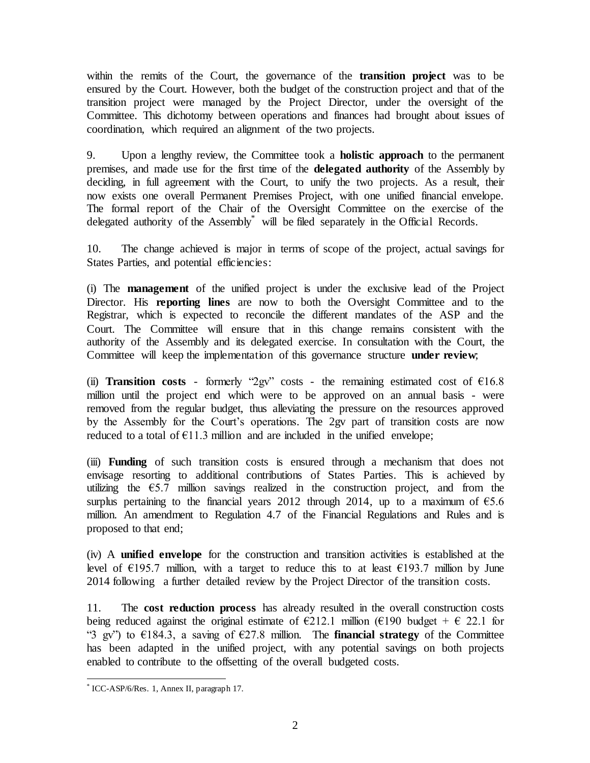within the remits of the Court, the governance of the **transition project** was to be ensured by the Court. However, both the budget of the construction project and that of the transition project were managed by the Project Director, under the oversight of the Committee. This dichotomy between operations and finances had brought about issues of coordination, which required an alignment of the two projects.

9. Upon a lengthy review, the Committee took a **holistic approach** to the permanent premises, and made use for the first time of the **delegated authority** of the Assembly by deciding, in full agreement with the Court, to unify the two projects. As a result, their now exists one overall Permanent Premises Project, with one unified financial envelope. The formal report of the Chair of the Oversight Committee on the exercise of the delegated authority of the Assembly\* will be filed separately in the Official Records.

10. The change achieved is major in terms of scope of the project, actual savings for States Parties, and potential efficiencies:

(i) The **management** of the unified project is under the exclusive lead of the Project Director. His **reporting lines** are now to both the Oversight Committee and to the Registrar, which is expected to reconcile the different mandates of the ASP and the Court. The Committee will ensure that in this change remains consistent with the authority of the Assembly and its delegated exercise. In consultation with the Court, the Committee will keep the implementation of this governance structure **under review**;

(ii) **Transition costs** - formerly "2gv" costs - the remaining estimated cost of  $\epsilon$ 16.8 million until the project end which were to be approved on an annual basis - were removed from the regular budget, thus alleviating the pressure on the resources approved by the Assembly for the Court's operations. The 2gv part of transition costs are now reduced to a total of  $E11.3$  million and are included in the unified envelope;

(iii) **Funding** of such transition costs is ensured through a mechanism that does not envisage resorting to additional contributions of States Parties. This is achieved by utilizing the  $\epsilon$ 5.7 million savings realized in the construction project, and from the surplus pertaining to the financial years 2012 through 2014, up to a maximum of  $65.6$ million. An amendment to Regulation 4.7 of the Financial Regulations and Rules and is proposed to that end;

(iv) A **unified envelope** for the construction and transition activities is established at the level of  $E195.7$  million, with a target to reduce this to at least  $E193.7$  million by June 2014 following a further detailed review by the Project Director of the transition costs.

11. The **cost reduction process** has already resulted in the overall construction costs being reduced against the original estimate of  $\epsilon$ 212.1 million ( $\epsilon$ 190 budget +  $\epsilon$  22.1 for "3 gv") to  $\epsilon$ 184.3, a saving of  $\epsilon$ 27.8 million. The **financial strategy** of the Committee has been adapted in the unified project, with any potential savings on both projects enabled to contribute to the offsetting of the overall budgeted costs.

 $\overline{a}$ \* ICC-ASP/6/Res. 1, Annex II, paragraph 17.